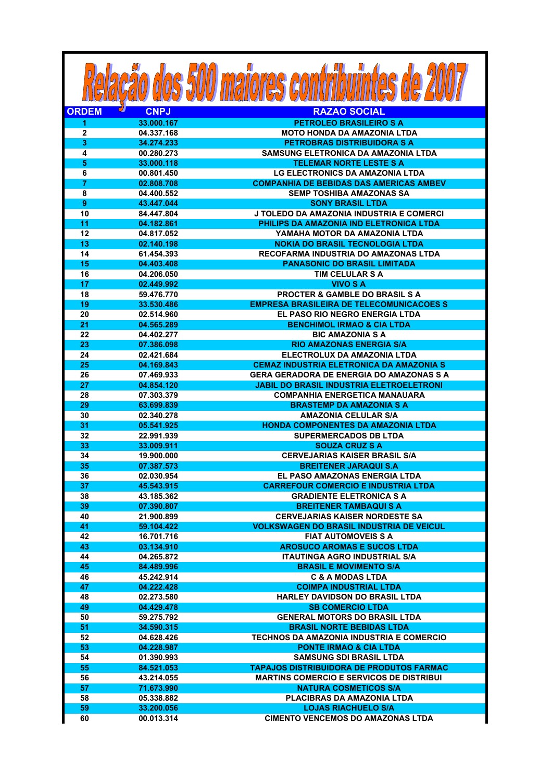|                         |                          | <b>: 500 maiores co</b>                                                   |
|-------------------------|--------------------------|---------------------------------------------------------------------------|
| <b>ORDEM</b>            | <b>CNPJ</b>              | <b>RAZAO SOCIAL</b>                                                       |
| 1                       | 33.000.167               | <b>PETROLEO BRASILEIRO S A</b>                                            |
| $\overline{2}$          | 04.337.168               | <b>MOTO HONDA DA AMAZONIA LTDA</b>                                        |
| 3                       | 34.274.233               | <b>PETROBRAS DISTRIBUIDORA S A</b>                                        |
| $\overline{\mathbf{4}}$ | 00.280.273               | <b>SAMSUNG ELETRONICA DA AMAZONIA LTDA</b>                                |
| $\overline{\mathbf{5}}$ | 33.000.118               | <b>TELEMAR NORTE LESTE S A</b>                                            |
| 6                       | 00.801.450               | <b>LG ELECTRONICS DA AMAZONIA LTDA</b>                                    |
| $\overline{7}$          | 02.808.708               | <b>COMPANHIA DE BEBIDAS DAS AMERICAS AMBEV</b>                            |
| 8                       | 04.400.552               | <b>SEMP TOSHIBA AMAZONAS SA</b>                                           |
| 9<br>10                 | 43.447.044               | <b>SONY BRASIL LTDA</b><br>J TOLEDO DA AMAZONIA INDUSTRIA E COMERCI       |
| 11                      | 84.447.804<br>04.182.861 | PHILIPS DA AMAZONIA IND ELETRONICA LTDA                                   |
| 12                      | 04.817.052               | YAMAHA MOTOR DA AMAZONIA LTDA                                             |
| 13                      | 02.140.198               | <b>NOKIA DO BRASIL TECNOLOGIA LTDA</b>                                    |
| 14                      | 61.454.393               | RECOFARMA INDUSTRIA DO AMAZONAS LTDA                                      |
| 15                      | 04.403.408               | <b>PANASONIC DO BRASIL LIMITADA</b>                                       |
| 16                      | 04.206.050               | <b>TIM CELULAR S A</b>                                                    |
| 17                      | 02.449.992               | <b>VIVO S A</b>                                                           |
| 18                      | 59.476.770               | <b>PROCTER &amp; GAMBLE DO BRASIL S A</b>                                 |
| 19                      | 33.530.486               | <b>EMPRESA BRASILEIRA DE TELECOMUNICACOES S</b>                           |
| 20                      | 02.514.960               | EL PASO RIO NEGRO ENERGIA LTDA                                            |
| 21                      | 04.565.289               | <b>BENCHIMOL IRMAO &amp; CIA LTDA</b>                                     |
| 22                      | 04.402.277               | <b>BIC AMAZONIA S A</b>                                                   |
| 23                      | 07.386.098               | <b>RIO AMAZONAS ENERGIA S/A</b>                                           |
| 24                      | 02.421.684               | ELECTROLUX DA AMAZONIA LTDA                                               |
| 25                      | 04.169.843               | <b>CEMAZ INDUSTRIA ELETRONICA DA AMAZONIA S</b>                           |
| 26                      | 07.469.933               | GERA GERADORA DE ENERGIA DO AMAZONAS S A                                  |
| 27                      | 04.854.120               | <b>JABIL DO BRASIL INDUSTRIA ELETROELETRONI</b>                           |
| 28                      | 07.303.379               | <b>COMPANHIA ENERGETICA MANAUARA</b>                                      |
| 29                      | 63.699.839               | <b>BRASTEMP DA AMAZONIA S A</b>                                           |
| 30                      | 02.340.278               | <b>AMAZONIA CELULAR S/A</b>                                               |
| 31<br>32                | 05.541.925<br>22.991.939 | <b>HONDA COMPONENTES DA AMAZONIA LTDA</b><br><b>SUPERMERCADOS DB LTDA</b> |
| 33                      | 33.009.911               | <b>SOUZA CRUZ S A</b>                                                     |
| 34                      | 19.900.000               | <b>CERVEJARIAS KAISER BRASIL S/A</b>                                      |
| 35                      | 07.387.573               | <b>BREITENER JARAQUI S.A</b>                                              |
| 36                      | 02.030.954               | EL PASO AMAZONAS ENERGIA LTDA                                             |
| 37                      | 45.543.915               | <b>CARREFOUR COMERCIO E INDUSTRIA LTDA</b>                                |
| 38                      | 43.185.362               | <b>GRADIENTE ELETRONICA S A</b>                                           |
| 39                      | 07.390.807               | <b>BREITENER TAMBAQUI S A</b>                                             |
| 40                      | 21.900.899               | <b>CERVEJARIAS KAISER NORDESTE SA</b>                                     |
| 41                      | 59.104.422               | <b>VOLKSWAGEN DO BRASIL INDUSTRIA DE VEICUL</b>                           |
| 42                      | 16.701.716               | <b>FIAT AUTOMOVEIS S A</b>                                                |
| 43                      | 03.134.910               | <b>AROSUCO AROMAS E SUCOS LTDA</b>                                        |
| 44                      | 04.265.872               | <b>ITAUTINGA AGRO INDUSTRIAL S/A</b>                                      |
| 45                      | 84.489.996               | <b>BRASIL E MOVIMENTO S/A</b>                                             |
| 46                      | 45.242.914               | <b>C &amp; A MODAS LTDA</b>                                               |
| 47                      | 04.222.428               | <b>COIMPA INDUSTRIAL LTDA</b>                                             |
| 48                      | 02.273.580               | <b>HARLEY DAVIDSON DO BRASIL LTDA</b>                                     |
| 49                      | 04.429.478               | <b>SB COMERCIO LTDA</b>                                                   |
| 50                      | 59.275.792               | <b>GENERAL MOTORS DO BRASIL LTDA</b>                                      |
| 51                      | 34.590.315               | <b>BRASIL NORTE BEBIDAS LTDA</b>                                          |
| 52                      | 04.628.426               | TECHNOS DA AMAZONIA INDUSTRIA E COMERCIO                                  |
| 53<br>54                | 04.228.987<br>01.390.993 | <b>PONTE IRMAO &amp; CIA LTDA</b><br><b>SAMSUNG SDI BRASIL LTDA</b>       |
| 55                      | 84.521.053               | <b>TAPAJOS DISTRIBUIDORA DE PRODUTOS FARMAC</b>                           |
| 56                      | 43.214.055               | <b>MARTINS COMERCIO E SERVICOS DE DISTRIBUI</b>                           |
| 57                      | 71.673.990               | <b>NATURA COSMETICOS S/A</b>                                              |
| 58                      | 05.338.882               | PLACIBRAS DA AMAZONIA LTDA                                                |
| 59                      | 33.200.056               | <b>LOJAS RIACHUELO S/A</b>                                                |
| 60                      | 00.013.314               | <b>CIMENTO VENCEMOS DO AMAZONAS LTDA</b>                                  |
|                         |                          |                                                                           |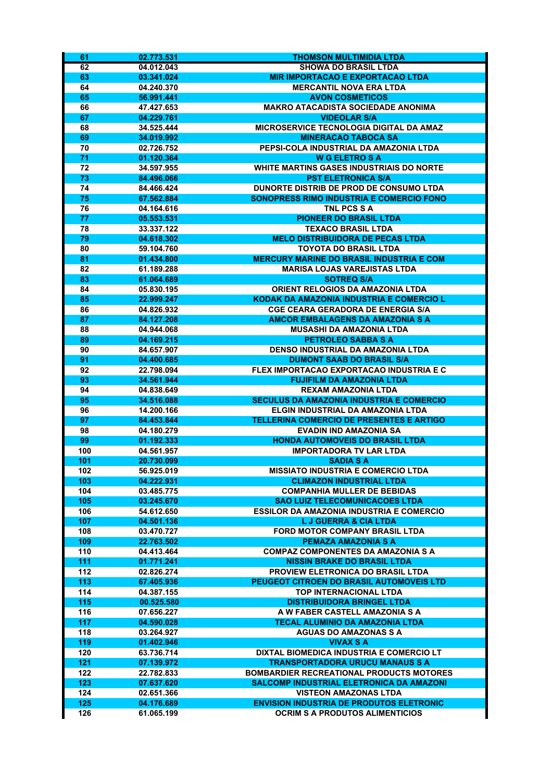| 61         | 02.773.531               | THOMSON MULTIMIDIA LTDA                                                             |
|------------|--------------------------|-------------------------------------------------------------------------------------|
| 62         | 04.012.043               | <b>SHOWA DO BRASIL LTDA</b>                                                         |
| 63         | 03.341.024               | <b>MIR IMPORTACAO E EXPORTACAO LTDA</b>                                             |
| 64         | 04.240.370               | <b>MERCANTIL NOVA ERA LTDA</b>                                                      |
| 65         | 56.991.441               | <b>AVON COSMETICOS</b>                                                              |
| 66         | 47.427.653               | <b>MAKRO ATACADISTA SOCIEDADE ANONIMA</b>                                           |
| 67         | 04.229.761               | <b>VIDEOLAR S/A</b>                                                                 |
| 68         | 34.525.444               | <b>MICROSERVICE TECNOLOGIA DIGITAL DA AMAZ</b>                                      |
| 69<br>70   | 34.019.992<br>02.726.752 | <b>MINERACAO TABOCA SA</b><br>PEPSI-COLA INDUSTRIAL DA AMAZONIA LTDA                |
| 71         | 01.120.364               | <b>W G ELETRO S A</b>                                                               |
| 72         | 34.597.955               | <b>WHITE MARTINS GASES INDUSTRIAIS DO NORTE</b>                                     |
| 73         | 84.496.066               | <b>PST ELETRONICA S/A</b>                                                           |
| 74         | 84.466.424               | DUNORTE DISTRIB DE PROD DE CONSUMO LTDA                                             |
| 75         | 67.562.884               | SONOPRESS RIMO INDUSTRIA E COMERCIO FONO                                            |
| 76         | 04.164.616               | TNL PCS S A                                                                         |
| 77         | 05.553.531               | <b>PIONEER DO BRASIL LTDA</b>                                                       |
| 78         | 33.337.122               | TEXACO BRASIL LTDA                                                                  |
| 79         | 04.618.302               | <b>MELO DISTRIBUIDORA DE PECAS LTDA</b>                                             |
| 80         | 59.104.760               | <b>TOYOTA DO BRASIL LTDA</b>                                                        |
| 81         | 01.434.800               | <b>MERCURY MARINE DO BRASIL INDUSTRIA E COM</b>                                     |
| 82         | 61.189.288               | <b>MARISA LOJAS VAREJISTAS LTDA</b>                                                 |
| 83<br>84   | 61.064.689               | <b>SOTREQ S/A</b>                                                                   |
| 85         | 05.830.195<br>22.999.247 | ORIENT RELOGIOS DA AMAZONIA LTDA<br><b>KODAK DA AMAZONIA INDUSTRIA E COMERCIO L</b> |
| 86         | 04.826.932               | <b>CGE CEARA GERADORA DE ENERGIA S/A</b>                                            |
| 87         | 84.127.208               | <b>AMCOR EMBALAGENS DA AMAZONIA S A</b>                                             |
| 88         | 04.944.068               | <b>MUSASHI DA AMAZONIA LTDA</b>                                                     |
| 89         | 04.169.215               | <b>PETROLEO SABBA S A</b>                                                           |
| 90         | 84.657.907               | <b>DENSO INDUSTRIAL DA AMAZONIA LTDA</b>                                            |
| 91         | 04.400.685               | <b>DUMONT SAAB DO BRASIL S/A</b>                                                    |
| 92         | 22.798.094               | FLEX IMPORTACAO EXPORTACAO INDUSTRIA E C                                            |
| 93         | 34.561.944               | <b>FUJIFILM DA AMAZONIA LTDA</b>                                                    |
| 94         | 04.838.649               | <b>REXAM AMAZONIA LTDA</b>                                                          |
| 95         | 34.516.088               | <b>SECULUS DA AMAZONIA INDUSTRIA E COMERCIO</b>                                     |
| 96         | 14.200.166               | ELGIN INDUSTRIAL DA AMAZONIA LTDA                                                   |
| 97         | 84.453.844               | <b>TELLERINA COMERCIO DE PRESENTES E ARTIGO</b>                                     |
| 98         | 04.180.279               | <b>EVADIN IND AMAZONIA SA</b>                                                       |
| 99<br>100  | 01.192.333<br>04.561.957 | <b>HONDA AUTOMOVEIS DO BRASIL LTDA</b><br><b>IMPORTADORA TV LAR LTDA</b>            |
| 101        | 20.730.099               | <b>SADIA S A</b>                                                                    |
| 102        | 56.925.019               | <b>MISSIATO INDUSTRIA E COMERCIO LTDA</b>                                           |
| 103        | 04.222.931               | <b>CLIMAZON INDUSTRIAL LTDA</b>                                                     |
| 104        | 03.485.775               | <b>COMPANHIA MULLER DE BEBIDAS</b>                                                  |
| 105        | 03.245.670               | <b>SAO LUIZ TELECOMUNICACOES LTDA</b>                                               |
| 106        | 54.612.650               | <b>ESSILOR DA AMAZONIA INDUSTRIA E COMERCIO</b>                                     |
| 107        | 04.501.136               | <b>LJ GUERRA &amp; CIA LTDA</b>                                                     |
| 108        | 03.470.727               | FORD MOTOR COMPANY BRASIL LTDA                                                      |
| 109        | 22.763.502               | <b>PEMAZA AMAZONIA S A</b>                                                          |
| 110        | 04.413.464               | <b>COMPAZ COMPONENTES DA AMAZONIA S A</b>                                           |
| 111        | 01.771.241               | <b>NISSIN BRAKE DO BRASIL LTDA</b>                                                  |
| 112        | 02.826.274               | <b>PROVIEW ELETRONICA DO BRASIL LTDA</b>                                            |
| 113        | 67.405.936               | PEUGEOT CITROEN DO BRASIL AUTOMOVEIS LTD                                            |
| 114<br>115 | 04.387.155<br>00.525.580 | <b>TOP INTERNACIONAL LTDA</b><br><b>DISTRIBUIDORA BRINGEL LTDA</b>                  |
| 116        | 07.656.227               | A W FABER CASTELL AMAZONIA S A                                                      |
| 117        | 04.590.028               | <b>TECAL ALUMINIO DA AMAZONIA LTDA</b>                                              |
| 118        | 03.264.927               | <b>AGUAS DO AMAZONAS S A</b>                                                        |
| 119        | 01.402.946               | <b>VIVAX S A</b>                                                                    |
| 120        | 63.736.714               | DIXTAL BIOMEDICA INDUSTRIA E COMERCIO LT                                            |
| 121        | 07.139.972               | <b>TRANSPORTADORA URUCU MANAUS S A</b>                                              |
| 122        | 22.782.833               | <b>BOMBARDIER RECREATIONAL PRODUCTS MOTORES</b>                                     |
| 123        | 07.637.620               | <b>SALCOMP INDUSTRIAL ELETRONICA DA AMAZONI</b>                                     |
| 124        | 02.651.366               | <b>VISTEON AMAZONAS LTDA</b>                                                        |
| 125        | 04.176.689               | <b>ENVISION INDUSTRIA DE PRODUTOS ELETRONIC</b>                                     |
| 126        | 61.065.199               | <b>OCRIM S A PRODUTOS ALIMENTICIOS</b>                                              |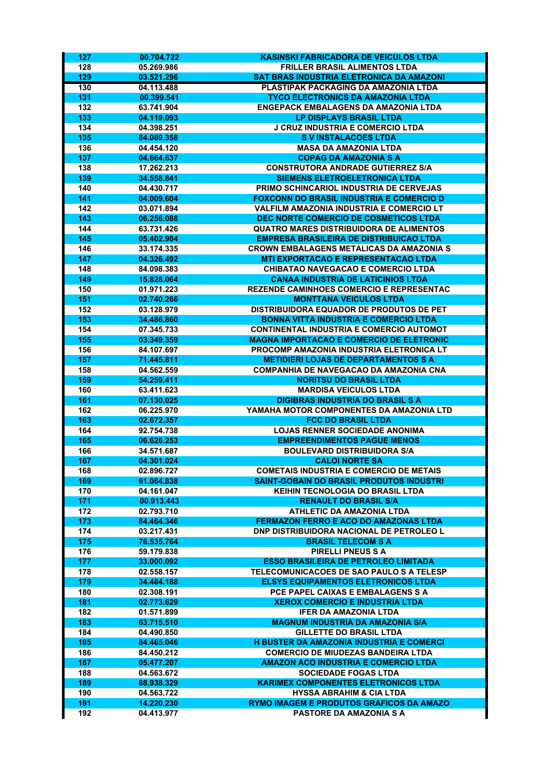| 127        | 00.704.722               | <b>KASINSKI FABRICADORA DE VEICULOS LTDA</b>                                                       |
|------------|--------------------------|----------------------------------------------------------------------------------------------------|
| 128        | 05.269.986               | <b>FRILLER BRASIL ALIMENTOS LTDA</b>                                                               |
| 129        | 03.521.296               | SAT BRAS INDUSTRIA ELETRONICA DA AMAZONI                                                           |
| 130        | 04.113.488               | PLASTIPAK PACKAGING DA AMAZONIA LTDA                                                               |
| 131        | 00.399.541               | <b>TYCO ELECTRONICS DA AMAZONIA LTDA</b>                                                           |
| 132        | 63.741.904               | <b>ENGEPACK EMBALAGENS DA AMAZONIA LTDA</b>                                                        |
| 133        | 04.119.093               | LP DISPLAYS BRASIL LTDA                                                                            |
| 134        | 04.398.251               | J CRUZ INDUSTRIA E COMERCIO LTDA                                                                   |
| 135        | 84.089.358               | <b>SVINSTALACOES LTDA</b>                                                                          |
| 136        | 04.454.120               | <b>MASA DA AMAZONIA LTDA</b>                                                                       |
| 137<br>138 | 04.664.637<br>17.262.213 | <b>COPAG DA AMAZONIA S A</b><br><b>CONSTRUTORA ANDRADE GUTIERREZ S/A</b>                           |
| 139        | 34.558.841               | <b>SIEMENS ELETROELETRONICA LTDA</b>                                                               |
| 140        | 04.430.717               | PRIMO SCHINCARIOL INDUSTRIA DE CERVEJAS                                                            |
| 141        | 04.009.604               | <b>FOXCONN DO BRASIL INDUSTRIA E COMERCIO D</b>                                                    |
| 142        | 03.071.894               | <b>VALFILM AMAZONIA INDUSTRIA E COMERCIO LT</b>                                                    |
| 143        | 06.256.088               | DEC NORTE COMERCIO DE COSMETICOS LTDA                                                              |
| 144        | 63.731.426               | <b>QUATRO MARES DISTRIBUIDORA DE ALIMENTOS</b>                                                     |
| 145        | 05.402.904               | <b>EMPRESA BRASILEIRA DE DISTRIBUICAO LTDA</b>                                                     |
| 146        | 33.174.335               | <b>CROWN EMBALAGENS METALICAS DA AMAZONIA S</b>                                                    |
| 147        | 04.326.492               | <b>MTI EXPORTACAO E REPRESENTACAO LTDA</b>                                                         |
| 148        | 84.098.383               | <b>CHIBATAO NAVEGACAO E COMERCIO LTDA</b>                                                          |
| 149        | 15.828.064               | <b>CANAA INDUSTRIA DE LATICINIOS LTDA</b>                                                          |
| 150        | 01.971.223               | <b>REZENDE CAMINHOES COMERCIO E REPRESENTAC</b>                                                    |
| 151        | 02.740.266               | <b>MONTTANA VEICULOS LTDA</b>                                                                      |
| 152        | 03.128.979               | DISTRIBUIDORA EQUADOR DE PRODUTOS DE PET                                                           |
| 153        | 34.486.860               | <b>BONNA VITTA INDUSTRIA E COMERCIO LTDA</b>                                                       |
| 154<br>155 | 07.345.733<br>03.349.359 | <b>CONTINENTAL INDUSTRIA E COMERCIO AUTOMOT</b><br><b>MAGNA IMPORTACAO E COMERCIO DE ELETRONIC</b> |
| 156        | 84.107.697               | PROCOMP AMAZONIA INDUSTRIA ELETRONICA LT                                                           |
| 157        | 71.445.811               | <b>METIDIERI LOJAS DE DEPARTAMENTOS S A</b>                                                        |
| 158        | 04.562.559               | <b>COMPANHIA DE NAVEGACAO DA AMAZONIA CNA</b>                                                      |
| 159        | 54.259.411               | <b>NORITSU DO BRASIL LTDA</b>                                                                      |
| 160        | 63.411.623               | <b>MARDISA VEICULOS LTDA</b>                                                                       |
| 161        | 07.130.025               | <b>DIGIBRAS INDUSTRIA DO BRASIL S A</b>                                                            |
| 162        | 06.225.970               | YAMAHA MOTOR COMPONENTES DA AMAZONIA LTD                                                           |
| 163        | 02.672.357               | <b>FCC DO BRASIL LTDA</b>                                                                          |
| 164        | 92.754.738               | <b>LOJAS RENNER SOCIEDADE ANONIMA</b>                                                              |
| 165        | 06.626.253               | <b>EMPREENDIMENTOS PAGUE MENOS</b>                                                                 |
| 166        | 34.571.687               | <b>BOULEVARD DISTRIBUIDORA S/A</b>                                                                 |
| 167        | 04.301.024               | <b>CALOI NORTE SA</b>                                                                              |
| 168        | 02.896.727               | <b>COMETAIS INDUSTRIA E COMERCIO DE METAIS</b>                                                     |
| 169        | 61.064.838<br>04.161.047 | <b>SAINT-GOBAIN DO BRASIL PRODUTOS INDUSTRI</b><br>KEIHIN TECNOLOGIA DO BRASIL LTDA                |
| 170<br>171 | 00.913.443               | <b>RENAULT DO BRASIL S/A</b>                                                                       |
| 172        | 02.793.710               | <b>ATHLETIC DA AMAZONIA LTDA</b>                                                                   |
| 173        | 84.464.346               | <b>FERMAZON FERRO E ACO DO AMAZONAS LTDA</b>                                                       |
| 174        | 03.217.431               | <b>DNP DISTRIBUIDORA NACIONAL DE PETROLEO L</b>                                                    |
| 175        | 76.535.764               | <b>BRASIL TELECOM S A</b>                                                                          |
| 176        | 59.179.838               | <b>PIRELLI PNEUS S A</b>                                                                           |
| 177        | 33.000.092               | <b>ESSO BRASILEIRA DE PETROLEO LIMITADA</b>                                                        |
| 178        | 02.558.157               | TELECOMUNICACOES DE SAO PAULO S A TELESP                                                           |
| 179        | 34.484.188               | <b>ELSYS EQUIPAMENTOS ELETRONICOS LTDA</b>                                                         |
| 180        | 02.308.191               | PCE PAPEL CAIXAS E EMBALAGENS S A                                                                  |
| 181        | 02.773.629               | <b>XEROX COMERCIO E INDUSTRIA LTDA</b>                                                             |
| 182        | 01.571.899               | <b>IFER DA AMAZONIA LTDA</b>                                                                       |
| 183        | 63.715.510               | <b>MAGNUM INDUSTRIA DA AMAZONIA S/A</b>                                                            |
| 184        | 04.490.850               | <b>GILLETTE DO BRASIL LTDA</b>                                                                     |
| 185        | 84.465.046               | <b>H BUSTER DA AMAZONIA INDUSTRIA E COMERCI</b>                                                    |
| 186        | 84.450.212<br>05.477.207 | <b>COMERCIO DE MIUDEZAS BANDEIRA LTDA</b><br><b>AMAZON ACO INDUSTRIA E COMERCIO LTDA</b>           |
| 187<br>188 | 04.563.672               | <b>SOCIEDADE FOGAS LTDA</b>                                                                        |
| 189        | 88.938.329               | <b>KARIMEX COMPONENTES ELETRONICOS LTDA</b>                                                        |
| 190        | 04.563.722               | <b>HYSSA ABRAHIM &amp; CIA LTDA</b>                                                                |
| 191        | 14.220.230               | <b>RYMO IMAGEM E PRODUTOS GRAFICOS DA AMAZO</b>                                                    |
| 192        | 04.413.977               | <b>PASTORE DA AMAZONIA S A</b>                                                                     |
|            |                          |                                                                                                    |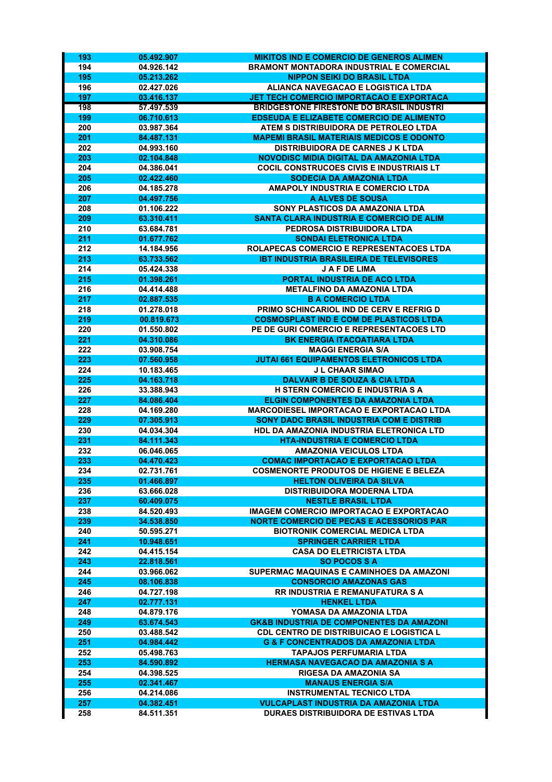| 193        | 05.492.907               | <b>MIKITOS IND E COMERCIO DE GENEROS ALIMEN</b>                                     |
|------------|--------------------------|-------------------------------------------------------------------------------------|
| 194        | 04.926.142               | <b>BRAMONT MONTADORA INDUSTRIAL E COMERCIAL</b>                                     |
| 195        | 05.213.262               | <b>NIPPON SEIKI DO BRASIL LTDA</b>                                                  |
| 196        | 02.427.026               | <b>ALIANCA NAVEGACAO E LOGISTICA LTDA</b>                                           |
| 197        | 03.416.137               | <b>JET TECH COMERCIO IMPORTACAO E EXPORTACA</b>                                     |
| 198        | 57.497.539               | <b>BRIDGESTONE FIRESTONE DO BRASIL INDUSTRI</b>                                     |
| 199        | 06.710.613               | <b>EDSEUDA E ELIZABETE COMERCIO DE ALIMENTO</b>                                     |
| 200        | 03.987.364               | ATEM S DISTRIBUIDORA DE PETROLEO LTDA                                               |
| 201        | 84.487.131               | <b>MAPEMI BRASIL MATERIAIS MEDICOS E ODONTO</b>                                     |
| 202        | 04.993.160               | <b>DISTRIBUIDORA DE CARNES J K LTDA</b>                                             |
| 203        | 02.104.848               | NOVODISC MIDIA DIGITAL DA AMAZONIA LTDA                                             |
| 204        | 04.386.041               | <b>COCIL CONSTRUCOES CIVIS E INDUSTRIAIS LT</b><br><b>SODECIA DA AMAZONIA LTDA</b>  |
| 205<br>206 | 02.422.460<br>04.185.278 | <b>AMAPOLY INDUSTRIA E COMERCIO LTDA</b>                                            |
| 207        | 04.497.756               | A ALVES DE SOUSA                                                                    |
| 208        | 01.106.222               | SONY PLASTICOS DA AMAZONIA LTDA                                                     |
| 209        | 63.310.411               | SANTA CLARA INDUSTRIA E COMERCIO DE ALIM                                            |
| 210        | 63.684.781               | PEDROSA DISTRIBUIDORA LTDA                                                          |
| 211        | 01.677.762               | <b>SONDAI ELETRONICA LTDA</b>                                                       |
| 212        | 14.184.956               | <b>ROLAPECAS COMERCIO E REPRESENTACOES LTDA</b>                                     |
| 213        | 63.733.562               | <b>IBT INDUSTRIA BRASILEIRA DE TELEVISORES</b>                                      |
| 214        | 05.424.338               | <b>JAFDELIMA</b>                                                                    |
| 215        | 01.398.261               | PORTAL INDUSTRIA DE ACO LTDA                                                        |
| 216        | 04.414.488               | <b>METALFINO DA AMAZONIA LTDA</b>                                                   |
| 217        | 02.887.535               | <b>B A COMERCIO LTDA</b>                                                            |
| 218        | 01.278.018               | PRIMO SCHINCARIOL IND DE CERV E REFRIG D                                            |
| 219        | 00.819.673               | <b>COSMOSPLAST IND E COM DE PLASTICOS LTDA</b>                                      |
| 220        | 01.550.802               | PE DE GURI COMERCIO E REPRESENTACOES LTD                                            |
| 221        | 04.310.086               | <b>BK ENERGIA ITACOATIARA LTDA</b>                                                  |
| 222        | 03.908.754               | <b>MAGGI ENERGIA S/A</b>                                                            |
| 223        | 07.560.958               | JUTAI 661 EQUIPAMENTOS ELETRONICOS LTDA                                             |
| 224        | 10.183.465               | <b>J L CHAAR SIMAO</b>                                                              |
| 225<br>226 | 04.163.718<br>33.388.943 | <b>DALVAIR B DE SOUZA &amp; CIA LTDA</b><br><b>H STERN COMERCIO E INDUSTRIA S A</b> |
| 227        | 84.086.404               | <b>ELGIN COMPONENTES DA AMAZONIA LTDA</b>                                           |
| 228        | 04.169.280               | <b>MARCODIESEL IMPORTACAO E EXPORTACAO LTDA</b>                                     |
| 229        | 07.305.913               | <b>SONY DADC BRASIL INDUSTRIA COM E DISTRIB</b>                                     |
| 230        | 04.034.304               | HDL DA AMAZONIA INDUSTRIA ELETRONICA LTD                                            |
| 231        | 84.111.343               | <b>HTA-INDUSTRIA E COMERCIO LTDA</b>                                                |
| 232        | 06.046.065               | <b>AMAZONIA VEICULOS LTDA</b>                                                       |
| 233        | 04.470.423               | <b>COMAC IMPORTACAO E EXPORTACAO LTDA</b>                                           |
| 234        | 02.731.761               | <b>COSMENORTE PRODUTOS DE HIGIENE E BELEZA</b>                                      |
| 235        | 01.466.897               | <b>HELTON OLIVEIRA DA SILVA</b>                                                     |
| 236        | 63.666.028               | <b>DISTRIBUIDORA MODERNA LTDA</b>                                                   |
| 237        | 60.409.075               | <b>NESTLE BRASIL LTDA</b>                                                           |
| 238        | 84.520.493               | IMAGEM COMERCIO IMPORTACAO E EXPORTACAO                                             |
| 239        | 34.538.850               | <b>NORTE COMERCIO DE PECAS E ACESSORIOS PAR</b>                                     |
| 240        | 50.595.271               | <b>BIOTRONIK COMERCIAL MEDICA LTDA</b>                                              |
| 241        | 10.948.651               | <b>SPRINGER CARRIER LTDA</b>                                                        |
| 242        | 04.415.154               | <b>CASA DO ELETRICISTA LTDA</b>                                                     |
| 243        | 22.818.561               | <b>SO POCOS S A</b>                                                                 |
| 244        | 03.966.062               | SUPERMAC MAQUINAS E CAMINHOES DA AMAZONI<br><b>CONSORCIO AMAZONAS GAS</b>           |
| 245<br>246 | 08.106.838               |                                                                                     |
| 247        | 04.727.198<br>02.777.131 | <b>RR INDUSTRIA E REMANUFATURA S A</b><br><b>HENKEL LTDA</b>                        |
| 248        | 04.879.176               | YOMASA DA AMAZONIA LTDA                                                             |
| 249        | 63.674.543               | <b>GK&amp;B INDUSTRIA DE COMPONENTES DA AMAZONI</b>                                 |
| 250        | 03.488.542               | <b>CDL CENTRO DE DISTRIBUICAO E LOGISTICA L</b>                                     |
| 251        | 04.984.442               | <b>G &amp; F CONCENTRADOS DA AMAZONIA LTDA</b>                                      |
| 252        | 05.498.763               | <b>TAPAJOS PERFUMARIA LTDA</b>                                                      |
| 253        | 84.590.892               | HERMASA NAVEGACAO DA AMAZONIA S A                                                   |
| 254        | 04.398.525               | <b>RIGESA DA AMAZONIA SA</b>                                                        |
| 255        | 02.341.467               | <b>MANAUS ENERGIA S/A</b>                                                           |
| 256        | 04.214.086               | <b>INSTRUMENTAL TECNICO LTDA</b>                                                    |
| 257        | 04.382.451               | <b>VULCAPLAST INDUSTRIA DA AMAZONIA LTDA</b>                                        |
| 258        | 84.511.351               | <b>DURAES DISTRIBUIDORA DE ESTIVAS LTDA</b>                                         |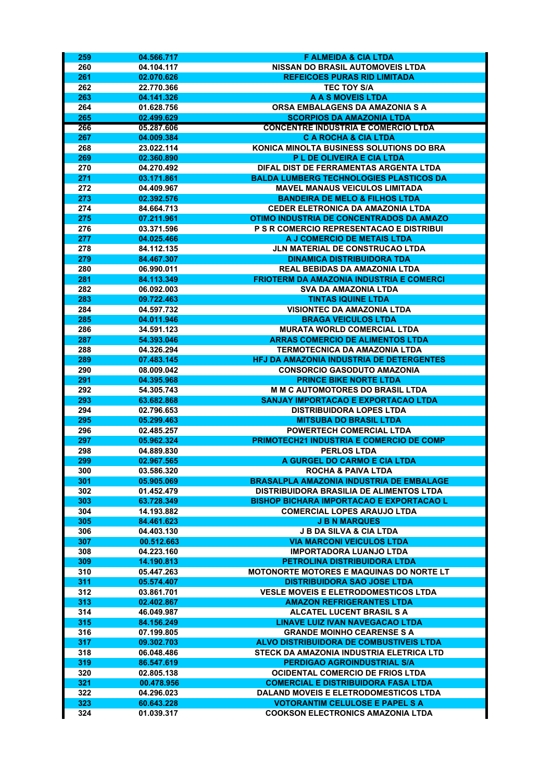| 259        | 04.566.717               | <b>F ALMEIDA &amp; CIA LTDA</b>                                      |
|------------|--------------------------|----------------------------------------------------------------------|
| 260        | 04.104.117               | <b>NISSAN DO BRASIL AUTOMOVEIS LTDA</b>                              |
| 261        | 02.070.626               | <b>REFEICOES PURAS RID LIMITADA</b>                                  |
| 262        | 22.770.366               | <b>TEC TOY S/A</b>                                                   |
| 263        | 04.141.326               | <b>A A S MOVEIS LTDA</b>                                             |
| 264        | 01.628.756               | ORSA EMBALAGENS DA AMAZONIA S A                                      |
| 265        | 02.499.629               | <b>SCORPIOS DA AMAZONIA LTDA</b>                                     |
| 266        | 05.287.606               | <b>CONCENTRE INDUSTRIA E COMERCIO LTDA</b>                           |
| 267        | 04.009.384               | <b>C A ROCHA &amp; CIA LTDA</b>                                      |
| 268        | 23.022.114               | KONICA MINOLTA BUSINESS SOLUTIONS DO BRA                             |
| 269        | 02.360.890               | P L DE OLIVEIRA E CIA LTDA                                           |
| 270        | 04.270.492               | DIFAL DIST DE FERRAMENTAS ARGENTA LTDA                               |
| 271        | 03.171.861               | <b>BALDA LUMBERG TECHNOLOGIES PLASTICOS DA</b>                       |
| 272        | 04.409.967               | <b>MAVEL MANAUS VEICULOS LIMITADA</b>                                |
| 273        | 02.392.576               | <b>BANDEIRA DE MELO &amp; FILHOS LTDA</b>                            |
| 274        | 84.664.713               | <b>CEDER ELETRONICA DA AMAZONIA LTDA</b>                             |
| 275        | 07.211.961               | OTIMO INDUSTRIA DE CONCENTRADOS DA AMAZO                             |
| 276        | 03.371.596               | P S R COMERCIO REPRESENTACAO E DISTRIBUI                             |
| 277        | 04.025.466               | A J COMERCIO DE METAIS LTDA                                          |
| 278        | 84.112.135               | JLN MATERIAL DE CONSTRUCAO LTDA<br><b>DINAMICA DISTRIBUIDORA TDA</b> |
| 279<br>280 | 84.467.307<br>06.990.011 | <b>REAL BEBIDAS DA AMAZONIA LTDA</b>                                 |
| 281        | 84.113.349               | <b>FRIOTERM DA AMAZONIA INDUSTRIA E COMERCI</b>                      |
| 282        | 06.092.003               | <b>SVA DA AMAZONIA LTDA</b>                                          |
| 283        | 09.722.463               | <b>TINTAS IQUINE LTDA</b>                                            |
| 284        | 04.597.732               | <b>VISIONTEC DA AMAZONIA LTDA</b>                                    |
| 285        | 04.011.946               | <b>BRAGA VEICULOS LTDA</b>                                           |
| 286        | 34.591.123               | <b>MURATA WORLD COMERCIAL LTDA</b>                                   |
| 287        | 54.393.046               | <b>ARRAS COMERCIO DE ALIMENTOS LTDA</b>                              |
| 288        | 04.326.294               | TERMOTECNICA DA AMAZONIA LTDA                                        |
| 289        | 07.483.145               | <b>HFJ DA AMAZONIA INDUSTRIA DE DETERGENTES</b>                      |
| 290        | 08.009.042               | <b>CONSORCIO GASODUTO AMAZONIA</b>                                   |
| 291        | 04.395.968               | <b>PRINCE BIKE NORTE LTDA</b>                                        |
| 292        | 54.305.743               | <b>M M C AUTOMOTORES DO BRASIL LTDA</b>                              |
| 293        | 63.682.868               | SANJAY IMPORTACAO E EXPORTACAO LTDA                                  |
| 294        | 02.796.653               | <b>DISTRIBUIDORA LOPES LTDA</b>                                      |
| 295        | 05.299.463               | <b>MITSUBA DO BRASIL LTDA</b>                                        |
| 296        | 02.485.257               | POWERTECH COMERCIAL LTDA                                             |
| 297        | 05.962.324               | PRIMOTECH21 INDUSTRIA E COMERCIO DE COMP                             |
| 298        | 04.889.830               | <b>PERLOS LTDA</b>                                                   |
| 299        | 02.967.565               | A GURGEL DO CARMO E CIA LTDA                                         |
| 300        | 03.586.320               | ROCHA & PAIVA LTDA                                                   |
| 301        | 05.905.069               | <b>BRASALPLA AMAZONIA INDUSTRIA DE EMBALAGE</b>                      |
| 302        | 01.452.479               | <b>DISTRIBUIDORA BRASILIA DE ALIMENTOS LTDA</b>                      |
| 303        | 63.728.349               | <b>BISHOP BICHARA IMPORTACAO E EXPORTACAO L</b>                      |
| 304<br>305 | 14.193.882<br>84.461.623 | <b>COMERCIAL LOPES ARAUJO LTDA</b><br><b>J B N MARQUES</b>           |
| 306        | 04.403.130               | <b>J B DA SILVA &amp; CIA LTDA</b>                                   |
| 307        | 00.512.663               | <b>VIA MARCONI VEICULOS LTDA</b>                                     |
| 308        | 04.223.160               | <b>IMPORTADORA LUANJO LTDA</b>                                       |
| 309        | 14.190.813               | PETROLINA DISTRIBUIDORA LTDA                                         |
| 310        | 05.447.263               | <b>MOTONORTE MOTORES E MAQUINAS DO NORTE LT</b>                      |
| 311        | 05.574.407               | <b>DISTRIBUIDORA SAO JOSE LTDA</b>                                   |
| 312        | 03.861.701               | <b>VESLE MOVEIS E ELETRODOMESTICOS LTDA</b>                          |
| 313        | 02.402.867               | <b>AMAZON REFRIGERANTES LTDA</b>                                     |
| 314        | 46.049.987               | <b>ALCATEL LUCENT BRASIL S A</b>                                     |
| 315        | 84.156.249               | <b>LINAVE LUIZ IVAN NAVEGACAO LTDA</b>                               |
| 316        | 07.199.805               | <b>GRANDE MOINHO CEARENSE S A</b>                                    |
| 317        | 09.302.703               | <b>ALVO DISTRIBUIDORA DE COMBUSTIVEIS LTDA</b>                       |
| 318        | 06.048.486               | STECK DA AMAZONIA INDUSTRIA ELETRICA LTD                             |
| 319        | 86.547.619               | PERDIGAO AGROINDUSTRIAL S/A                                          |
| 320        | 02.805.138               | <b>OCIDENTAL COMERCIO DE FRIOS LTDA</b>                              |
| 321        | 00.478.956               | <b>COMERCIAL E DISTRIBUIDORA FASA LTDA</b>                           |
| 322        | 04.296.023               | <b>DALAND MOVEIS E ELETRODOMESTICOS LTDA</b>                         |
| 323        | 60.643.228               | <b>VOTORANTIM CELULOSE E PAPEL S A</b>                               |
| 324        | 01.039.317               | <b>COOKSON ELECTRONICS AMAZONIA LTDA</b>                             |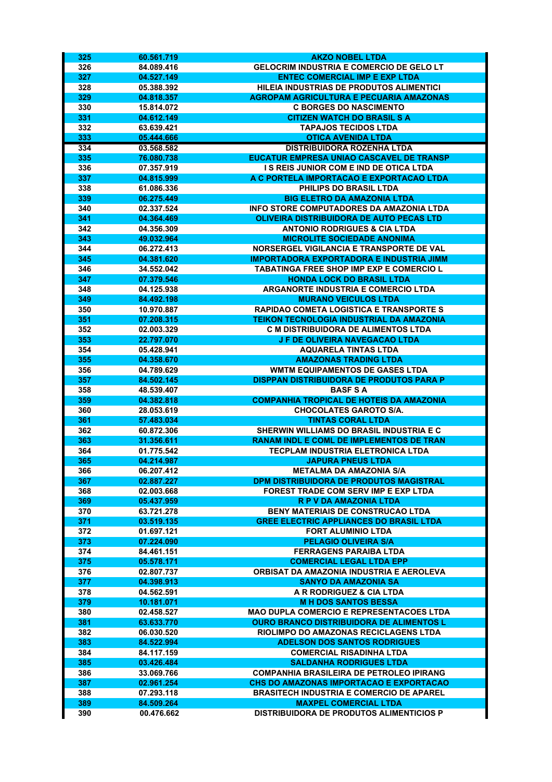| 325        | 60.561.719               | <b>AKZO NOBEL LTDA</b>                                                                     |
|------------|--------------------------|--------------------------------------------------------------------------------------------|
| 326        | 84.089.416               | <b>GELOCRIM INDUSTRIA E COMERCIO DE GELO LT</b>                                            |
| 327        | 04.527.149               | <b>ENTEC COMERCIAL IMP E EXP LTDA</b>                                                      |
| 328        | 05.388.392               | HILEIA INDUSTRIAS DE PRODUTOS ALIMENTICI                                                   |
| 329        | 04.818.357               | <b>AGROPAM AGRICULTURA E PECUARIA AMAZONAS</b>                                             |
| 330        | 15.814.072               | <b>C BORGES DO NASCIMENTO</b>                                                              |
| 331        | 04.612.149               | <b>CITIZEN WATCH DO BRASIL S A</b>                                                         |
| 332        | 63.639.421               | <b>TAPAJOS TECIDOS LTDA</b>                                                                |
| 333        | 05.444.666               | <b>OTICA AVENIDA LTDA</b>                                                                  |
| 334        | 03.568.582               | <b>DISTRIBUIDORA ROZENHA LTDA</b>                                                          |
| 335        | 76.080.738               | EUCATUR EMPRESA UNIAO CASCAVEL DE TRANSP                                                   |
| 336        | 07.357.919               | I S REIS JUNIOR COM E IND DE OTICA LTDA                                                    |
| 337        | 04.815.999               | A C PORTELA IMPORTACAO E EXPORTACAO LTDA                                                   |
| 338        | 61.086.336               | PHILIPS DO BRASIL LTDA                                                                     |
| 339        | 06.275.449               | <b>BIG ELETRO DA AMAZONIA LTDA</b>                                                         |
| 340        | 02.337.524               | INFO STORE COMPUTADORES DA AMAZONIA LTDA                                                   |
| 341        | 04.364.469               | <b>OLIVEIRA DISTRIBUIDORA DE AUTO PECAS LTD</b>                                            |
| 342        | 04.356.309               | <b>ANTONIO RODRIGUES &amp; CIA LTDA</b><br><b>MICROLITE SOCIEDADE ANONIMA</b>              |
| 343<br>344 | 49.032.964<br>06.272.413 | NORSERGEL VIGILANCIA E TRANSPORTE DE VAL                                                   |
| 345        | 04.381.620               | <b>IMPORTADORA EXPORTADORA E INDUSTRIA JIMM</b>                                            |
| 346        | 34.552.042               | <b>TABATINGA FREE SHOP IMP EXP E COMERCIO L</b>                                            |
| 347        | 07.379.546               | <b>HONDA LOCK DO BRASIL LTDA</b>                                                           |
| 348        | 04.125.938               | <b>ARGANORTE INDUSTRIA E COMERCIO LTDA</b>                                                 |
| 349        | 84.492.198               | <b>MURANO VEICULOS LTDA</b>                                                                |
| 350        | 10.970.887               | <b>RAPIDAO COMETA LOGISTICA E TRANSPORTE S</b>                                             |
| 351        | 07.208.315               | <b>TEIKON TECNOLOGIA INDUSTRIAL DA AMAZONIA</b>                                            |
| 352        | 02.003.329               | <b>C M DISTRIBUIDORA DE ALIMENTOS LTDA</b>                                                 |
| 353        | 22.797.070               | J F DE OLIVEIRA NAVEGACAO LTDA                                                             |
| 354        | 05.428.941               | <b>AQUARELA TINTAS LTDA</b>                                                                |
| 355        | 04.358.670               | <b>AMAZONAS TRADING LTDA</b>                                                               |
| 356        | 04.789.629               | <b>WMTM EQUIPAMENTOS DE GASES LTDA</b>                                                     |
| 357        | 84.502.145               | DISPPAN DISTRIBUIDORA DE PRODUTOS PARA P                                                   |
| 358        | 48.539.407               | <b>BASFSA</b>                                                                              |
| 359        | 04.382.818               | <b>COMPANHIA TROPICAL DE HOTEIS DA AMAZONIA</b>                                            |
| 360        | 28.053.619               | <b>CHOCOLATES GAROTO S/A.</b>                                                              |
| 361        | 57.483.034               | <b>TINTAS CORAL LTDA</b>                                                                   |
| 362        | 60.872.306               | SHERWIN WILLIAMS DO BRASIL INDUSTRIA E C                                                   |
| 363        | 31.356.611               | <b>RANAM INDL E COML DE IMPLEMENTOS DE TRAN</b>                                            |
| 364        | 01.775.542               | <b>TECPLAM INDUSTRIA ELETRONICA LTDA</b>                                                   |
| 365        | 04.214.987               | <b>JAPURA PNEUS LTDA</b>                                                                   |
| 366        | 06.207.412<br>02.887.227 | METALMA DA AMAZONIA S/A<br>DPM DISTRIBUIDORA DE PRODUTOS MAGISTRAL                         |
| 367<br>368 | 02.003.668               | <b>FOREST TRADE COM SERV IMP E EXP LTDA</b>                                                |
| 369        | 05.437.959               | <b>R P V DA AMAZONIA LTDA</b>                                                              |
| 370        | 63.721.278               | <b>BENY MATERIAIS DE CONSTRUCAO LTDA</b>                                                   |
| 371        | 03.519.135               | <b>GREE ELECTRIC APPLIANCES DO BRASIL LTDA</b>                                             |
| 372        | 01.697.121               | <b>FORT ALUMINIO LTDA</b>                                                                  |
| 373        | 07.224.090               | <b>PELAGIO OLIVEIRA S/A</b>                                                                |
| 374        | 84.461.151               | FERRAGENS PARAIBA LTDA                                                                     |
| 375        | 05.578.171               | <b>COMERCIAL LEGAL LTDA EPP</b>                                                            |
| 376        | 02.807.737               | ORBISAT DA AMAZONIA INDUSTRIA E AEROLEVA                                                   |
| 377        | 04.398.913               | <b>SANYO DA AMAZONIA SA</b>                                                                |
| 378        | 04.562.591               | A R RODRIGUEZ & CIA LTDA                                                                   |
| 379        | 10.181.071               | <b>MH DOS SANTOS BESSA</b>                                                                 |
| 380        | 02.458.527               | <b>MAO DUPLA COMERCIO E REPRESENTACOES LTDA</b>                                            |
| 381        | 63.633.770               | <b>OURO BRANCO DISTRIBUIDORA DE ALIMENTOS L</b>                                            |
| 382        | 06.030.520               | RIOLIMPO DO AMAZONAS RECICLAGENS LTDA                                                      |
| 383        | 84.522.994               | <b>ADELSON DOS SANTOS RODRIGUES</b>                                                        |
| 384        | 84.117.159               | <b>COMERCIAL RISADINHA LTDA</b>                                                            |
| 385        | 03.426.484               | <b>SALDANHA RODRIGUES LTDA</b>                                                             |
| 386        | 33.069.766               | <b>COMPANHIA BRASILEIRA DE PETROLEO IPIRANG</b>                                            |
| 387<br>388 | 02.961.254<br>07.293.118 | CHS DO AMAZONAS IMPORTACAO E EXPORTACAO<br><b>BRASITECH INDUSTRIA E COMERCIO DE APAREL</b> |
| 389        | 84.509.264               | <b>MAXPEL COMERCIAL LTDA</b>                                                               |
| 390        | 00.476.662               | <b>DISTRIBUIDORA DE PRODUTOS ALIMENTICIOS P</b>                                            |
|            |                          |                                                                                            |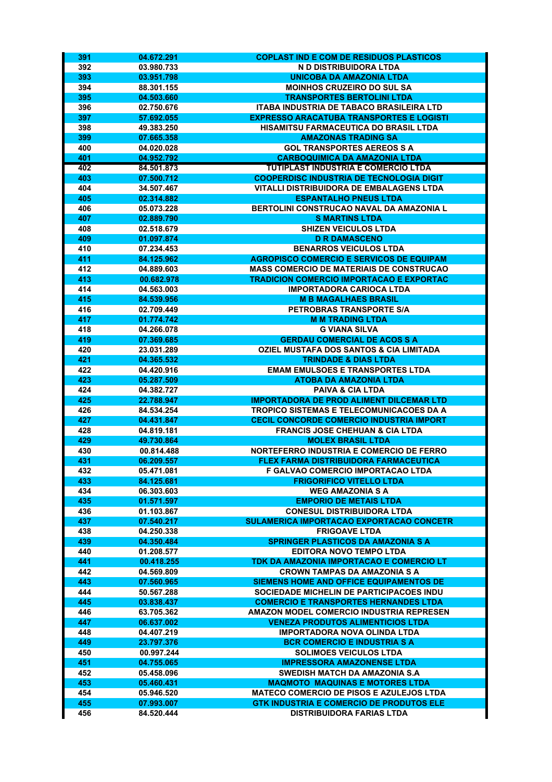| 391        | 04.672.291               | <b>COPLAST IND E COM DE RESIDUOS PLASTICOS</b>                                                     |
|------------|--------------------------|----------------------------------------------------------------------------------------------------|
| 392        | 03.980.733               | N D DISTRIBUIDORA LTDA                                                                             |
| 393        | 03.951.798               | <b>UNICOBA DA AMAZONIA LTDA</b>                                                                    |
| 394        | 88.301.155               | <b>MOINHOS CRUZEIRO DO SUL SA</b>                                                                  |
| 395        | 04.503.660               | <b>TRANSPORTES BERTOLINI LTDA</b>                                                                  |
| 396        | 02.750.676               | <b>ITABA INDUSTRIA DE TABACO BRASILEIRA LTD</b>                                                    |
| 397        | 57.692.055               | <b>EXPRESSO ARACATUBA TRANSPORTES E LOGISTI</b>                                                    |
| 398        | 49.383.250               | HISAMITSU FARMACEUTICA DO BRASIL LTDA                                                              |
| 399        | 07.665.358               | <b>AMAZONAS TRADING SA</b>                                                                         |
| 400        | 04.020.028               | <b>GOL TRANSPORTES AEREOS S A</b>                                                                  |
| 401        | 04.952.792               | <b>CARBOQUIMICA DA AMAZONIA LTDA</b>                                                               |
| 402        | 84.501.873               | <b>TUTIPLAST INDUSTRIA E COMERCIO LTDA</b>                                                         |
| 403        | 07.500.712               | <b>COOPERDISC INDUSTRIA DE TECNOLOGIA DIGIT</b><br><b>VITALLI DISTRIBUIDORA DE EMBALAGENS LTDA</b> |
| 404<br>405 | 34.507.467<br>02.314.882 | <b>ESPANTALHO PNEUS LTDA</b>                                                                       |
| 406        | 05.073.228               | BERTOLINI CONSTRUCAO NAVAL DA AMAZONIA L                                                           |
| 407        | 02.889.790               | <b>S MARTINS LTDA</b>                                                                              |
| 408        | 02.518.679               | <b>SHIZEN VEICULOS LTDA</b>                                                                        |
| 409        | 01.097.874               | <b>D R DAMASCENO</b>                                                                               |
| 410        | 07.234.453               | <b>BENARROS VEICULOS LTDA</b>                                                                      |
| 411        | 84.125.962               | <b>AGROPISCO COMERCIO E SERVICOS DE EQUIPAM</b>                                                    |
| 412        | 04.889.603               | <b>MASS COMERCIO DE MATERIAIS DE CONSTRUCAO</b>                                                    |
| 413        | 00.682.978               | <b>TRADICION COMERCIO IMPORTACAO E EXPORTAC</b>                                                    |
| 414        | 04.563.003               | <b>IMPORTADORA CARIOCA LTDA</b>                                                                    |
| 415        | 84.539.956               | <b>M B MAGALHAES BRASIL</b>                                                                        |
| 416        | 02.709.449               | PETROBRAS TRANSPORTE S/A                                                                           |
| 417        | 01.774.742               | <b>M M TRADING LTDA</b>                                                                            |
| 418        | 04.266.078               | <b>G VIANA SILVA</b>                                                                               |
| 419        | 07.369.685               | <b>GERDAU COMERCIAL DE ACOS S A</b>                                                                |
| 420        | 23.031.289               | <b>OZIEL MUSTAFA DOS SANTOS &amp; CIA LIMITADA</b>                                                 |
| 421        | 04.365.532               | <b>TRINDADE &amp; DIAS LTDA</b>                                                                    |
| 422        | 04.420.916               | <b>EMAM EMULSOES E TRANSPORTES LTDA</b>                                                            |
| 423        | 05.287.509               | <b>ATOBA DA AMAZONIA LTDA</b>                                                                      |
| 424<br>425 | 04.382.727<br>22.788.947 | <b>PAIVA &amp; CIA LTDA</b><br><b>IMPORTADORA DE PROD ALIMENT DILCEMAR LTD</b>                     |
| 426        | 84.534.254               | <b>TROPICO SISTEMAS E TELECOMUNICACOES DA A</b>                                                    |
| 427        | 04.431.847               | CECIL CONCORDE COMERCIO INDUSTRIA IMPORT                                                           |
| 428        | 04.819.181               | <b>FRANCIS JOSE CHEHUAN &amp; CIA LTDA</b>                                                         |
| 429        | 49.730.864               | <b>MOLEX BRASIL LTDA</b>                                                                           |
| 430        | 00.814.488               | NORTEFERRO INDUSTRIA E COMERCIO DE FERRO                                                           |
| 431        | 06.209.557               | FLEX FARMA DISTRIBUIDORA FARMACEUTICA                                                              |
| 432        | 05.471.081               | F GALVAO COMERCIO IMPORTACAO LTDA                                                                  |
| 433        | 84.125.681               | <b>FRIGORIFICO VITELLO LTDA</b>                                                                    |
| 434        | 06.303.603               | <b>WEG AMAZONIA S A</b>                                                                            |
| 435        | 01.571.597               | <b>EMPORIO DE METAIS LTDA</b>                                                                      |
| 436        | 01.103.867               | <b>CONESUL DISTRIBUIDORA LTDA</b>                                                                  |
| 437        | 07.540.217               | <b>SULAMERICA IMPORTACAO EXPORTACAO CONCETR</b>                                                    |
| 438        | 04.250.338               | <b>FRIGOAVE LTDA</b>                                                                               |
| 439        | 04.350.484               | <b>SPRINGER PLASTICOS DA AMAZONIA S A</b>                                                          |
| 440        | 01.208.577               | <b>EDITORA NOVO TEMPO LTDA</b>                                                                     |
| 441<br>442 | 00.418.255               | TDK DA AMAZONIA IMPORTACAO E COMERCIO LT<br><b>CROWN TAMPAS DA AMAZONIA S A</b>                    |
| 443        | 04.569.809<br>07.560.965 | SIEMENS HOME AND OFFICE EQUIPAMENTOS DE                                                            |
| 444        | 50.567.288               | SOCIEDADE MICHELIN DE PARTICIPACOES INDU                                                           |
| 445        | 03.838.437               | <b>COMERCIO E TRANSPORTES HERNANDES LTDA</b>                                                       |
| 446        | 63.705.362               | AMAZON MODEL COMERCIO INDUSTRIA REPRESEN                                                           |
| 447        | 06.637.002               | <b>VENEZA PRODUTOS ALIMENTICIOS LTDA</b>                                                           |
| 448        | 04.407.219               | <b>IMPORTADORA NOVA OLINDA LTDA</b>                                                                |
| 449        | 23.797.376               | <b>BCR COMERCIO E INDUSTRIA S A</b>                                                                |
| 450        | 00.997.244               | <b>SOLIMOES VEICULOS LTDA</b>                                                                      |
| 451        | 04.755.065               | <b>IMPRESSORA AMAZONENSE LTDA</b>                                                                  |
| 452        | 05.458.096               | SWEDISH MATCH DA AMAZONIA S.A                                                                      |
| 453        | 05.460.431               | <b>MAQMOTO MAQUINAS E MOTORES LTDA</b>                                                             |
| 454        | 05.946.520               | <b>MATECO COMERCIO DE PISOS E AZULEJOS LTDA</b>                                                    |
| 455        | 07.993.007               | <b>GTK INDUSTRIA E COMERCIO DE PRODUTOS ELE</b>                                                    |
| 456        | 84.520.444               | <b>DISTRIBUIDORA FARIAS LTDA</b>                                                                   |